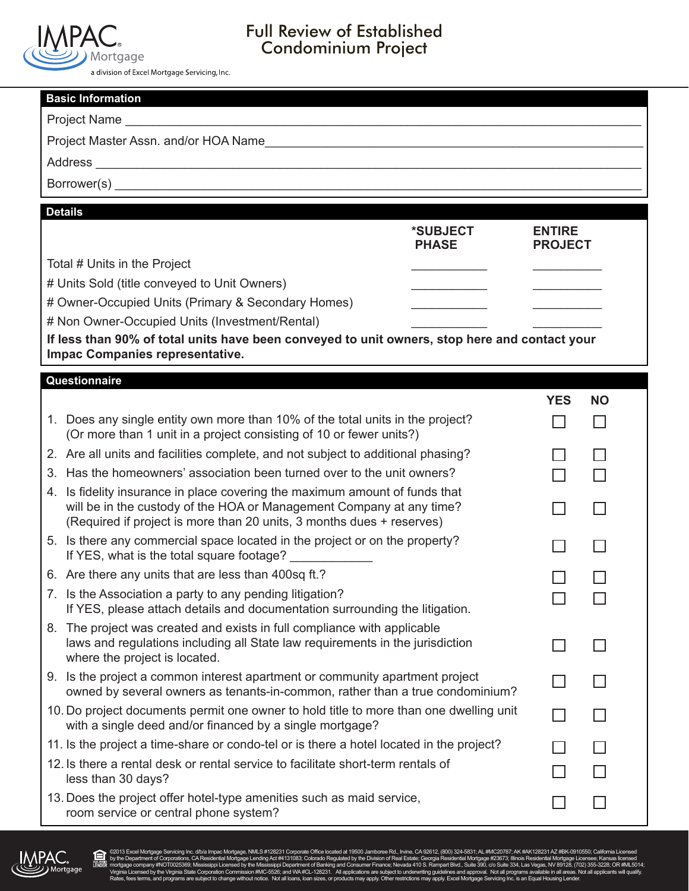

# Full Review of Established Condominium Project

a division of Excel Mortgage Servicing, Inc.

| <b>Basic Information</b>                                                                                                                                                                                                     |                                 |           |  |  |  |
|------------------------------------------------------------------------------------------------------------------------------------------------------------------------------------------------------------------------------|---------------------------------|-----------|--|--|--|
|                                                                                                                                                                                                                              |                                 |           |  |  |  |
|                                                                                                                                                                                                                              |                                 |           |  |  |  |
|                                                                                                                                                                                                                              |                                 |           |  |  |  |
|                                                                                                                                                                                                                              |                                 |           |  |  |  |
|                                                                                                                                                                                                                              |                                 |           |  |  |  |
| <b>Details</b><br>*SUBJECT<br><b>PHASE</b>                                                                                                                                                                                   | <b>ENTIRE</b><br><b>PROJECT</b> |           |  |  |  |
| Total # Units in the Project                                                                                                                                                                                                 |                                 |           |  |  |  |
| # Units Sold (title conveyed to Unit Owners)                                                                                                                                                                                 |                                 |           |  |  |  |
| # Owner-Occupied Units (Primary & Secondary Homes)                                                                                                                                                                           |                                 |           |  |  |  |
| # Non Owner-Occupied Units (Investment/Rental)                                                                                                                                                                               |                                 |           |  |  |  |
| If less than 90% of total units have been conveyed to unit owners, stop here and contact your                                                                                                                                |                                 |           |  |  |  |
| Impac Companies representative.                                                                                                                                                                                              |                                 |           |  |  |  |
| Questionnaire                                                                                                                                                                                                                |                                 |           |  |  |  |
|                                                                                                                                                                                                                              | <b>YES</b>                      | <b>NO</b> |  |  |  |
| 1. Does any single entity own more than 10% of the total units in the project?<br>(Or more than 1 unit in a project consisting of 10 or fewer units?)                                                                        | $\overline{\phantom{a}}$        | $\Box$    |  |  |  |
| 2. Are all units and facilities complete, and not subject to additional phasing?                                                                                                                                             |                                 |           |  |  |  |
| 3. Has the homeowners' association been turned over to the unit owners?                                                                                                                                                      | $\overline{\phantom{a}}$        |           |  |  |  |
| 4. Is fidelity insurance in place covering the maximum amount of funds that<br>will be in the custody of the HOA or Management Company at any time?<br>(Required if project is more than 20 units, 3 months dues + reserves) |                                 | L.        |  |  |  |
| 5. Is there any commercial space located in the project or on the property?<br>If YES, what is the total square footage? _____________                                                                                       |                                 | ΙI        |  |  |  |
| 6. Are there any units that are less than 400sq ft.?                                                                                                                                                                         |                                 |           |  |  |  |
| 7. Is the Association a party to any pending litigation?<br>If YES, please attach details and documentation surrounding the litigation.                                                                                      |                                 |           |  |  |  |
| 8. The project was created and exists in full compliance with applicable<br>laws and regulations including all State law requirements in the jurisdiction<br>where the project is located.                                   |                                 |           |  |  |  |
| 9. Is the project a common interest apartment or community apartment project<br>owned by several owners as tenants-in-common, rather than a true condominium?                                                                |                                 |           |  |  |  |
| 10. Do project documents permit one owner to hold title to more than one dwelling unit<br>with a single deed and/or financed by a single mortgage?                                                                           |                                 |           |  |  |  |
| 11. Is the project a time-share or condo-tel or is there a hotel located in the project?                                                                                                                                     |                                 |           |  |  |  |
| 12. Is there a rental desk or rental service to facilitate short-term rentals of<br>less than 30 days?                                                                                                                       |                                 |           |  |  |  |
| 13. Does the project offer hotel-type amenities such as maid service,<br>room service or central phone system?                                                                                                               |                                 |           |  |  |  |



**A** 

@2013 Excel Mortgage Servicing Inc. divia Impac Mortgage, NMLS #128231 Conporate Office located at 19500 Jambone Rd., Invine, CA 92612, (800) 324-5831; AK #AK1282316, WHAT282317, MHz Department of Corporations, CARIFORD, C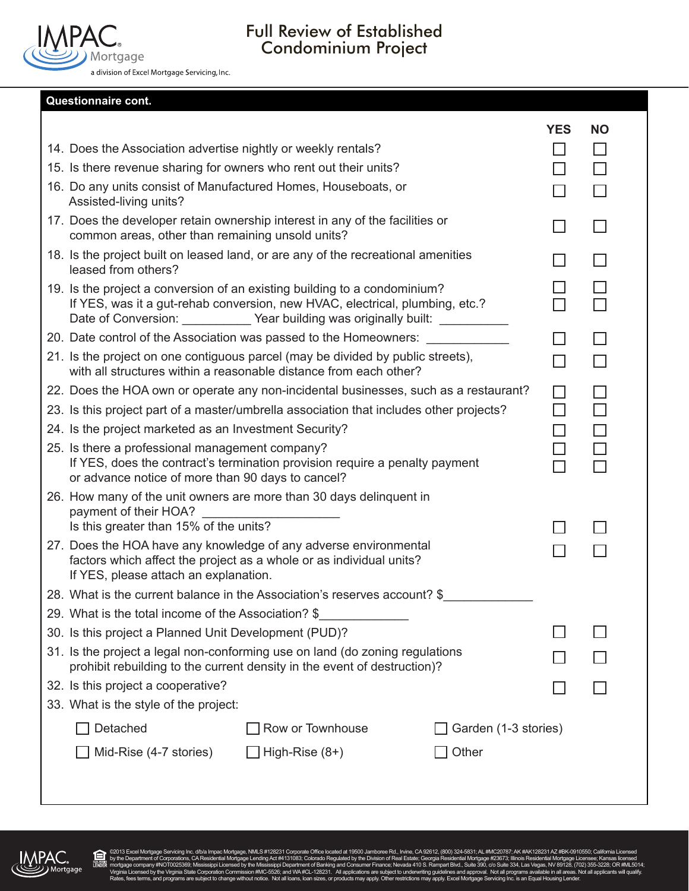

# Full Review of Established Condominium Project

**Questionnaire cont.**

|                                                                                                                                                                                                                                              |                  |                      | <b>YES</b> | <b>NO</b> |
|----------------------------------------------------------------------------------------------------------------------------------------------------------------------------------------------------------------------------------------------|------------------|----------------------|------------|-----------|
| 14. Does the Association advertise nightly or weekly rentals?                                                                                                                                                                                |                  |                      |            | $\Box$    |
| 15. Is there revenue sharing for owners who rent out their units?                                                                                                                                                                            |                  |                      | П          |           |
| 16. Do any units consist of Manufactured Homes, Houseboats, or<br>Assisted-living units?                                                                                                                                                     |                  |                      | $\Box$     |           |
| 17. Does the developer retain ownership interest in any of the facilities or<br>common areas, other than remaining unsold units?                                                                                                             |                  |                      |            | $\Box$    |
| 18. Is the project built on leased land, or are any of the recreational amenities<br>leased from others?                                                                                                                                     |                  |                      |            | П         |
| 19. Is the project a conversion of an existing building to a condominium?<br>If YES, was it a gut-rehab conversion, new HVAC, electrical, plumbing, etc.?<br>Date of Conversion: ____________ Year building was originally built: __________ |                  |                      | $\Box$     |           |
| 20. Date control of the Association was passed to the Homeowners:                                                                                                                                                                            |                  |                      |            | $\Box$    |
| 21. Is the project on one contiguous parcel (may be divided by public streets),<br>with all structures within a reasonable distance from each other?                                                                                         |                  |                      |            | П         |
| 22. Does the HOA own or operate any non-incidental businesses, such as a restaurant?                                                                                                                                                         |                  |                      | П          | П         |
| 23. Is this project part of a master/umbrella association that includes other projects?                                                                                                                                                      |                  |                      | $\Box$     | П         |
| 24. Is the project marketed as an Investment Security?                                                                                                                                                                                       |                  |                      | $\Box$     | $\Box$    |
| 25. Is there a professional management company?<br>If YES, does the contract's termination provision require a penalty payment<br>or advance notice of more than 90 days to cancel?                                                          |                  |                      |            |           |
| 26. How many of the unit owners are more than 30 days delinquent in<br>payment of their HOA?                                                                                                                                                 |                  |                      |            |           |
| Is this greater than 15% of the units?                                                                                                                                                                                                       |                  |                      |            |           |
| 27. Does the HOA have any knowledge of any adverse environmental<br>factors which affect the project as a whole or as individual units?<br>If YES, please attach an explanation.                                                             |                  |                      |            |           |
| 28. What is the current balance in the Association's reserves account? \$                                                                                                                                                                    |                  |                      |            |           |
| 29. What is the total income of the Association? \$                                                                                                                                                                                          |                  |                      |            |           |
| 30. Is this project a Planned Unit Development (PUD)?                                                                                                                                                                                        |                  |                      |            |           |
| 31. Is the project a legal non-conforming use on land (do zoning regulations<br>prohibit rebuilding to the current density in the event of destruction)?                                                                                     |                  |                      |            |           |
| 32. Is this project a cooperative?                                                                                                                                                                                                           |                  |                      |            |           |
| 33. What is the style of the project:                                                                                                                                                                                                        |                  |                      |            |           |
| Detached                                                                                                                                                                                                                                     | Row or Townhouse | Garden (1-3 stories) |            |           |
| Mid-Rise (4-7 stories)                                                                                                                                                                                                                       | High-Rise $(8+)$ | Other                |            |           |
|                                                                                                                                                                                                                                              |                  |                      |            |           |



**A** 

@2013 Excel Mortgage Servicing Inc. divia Impac Mortgage, NMLS #128231 Conporate Office located at 19500 Jambone Rd., Invine, CA 92612, (800) 324-5831; AK #AK1282316, WHAT282317, MHz Department of Corporations, CARIFORD, C